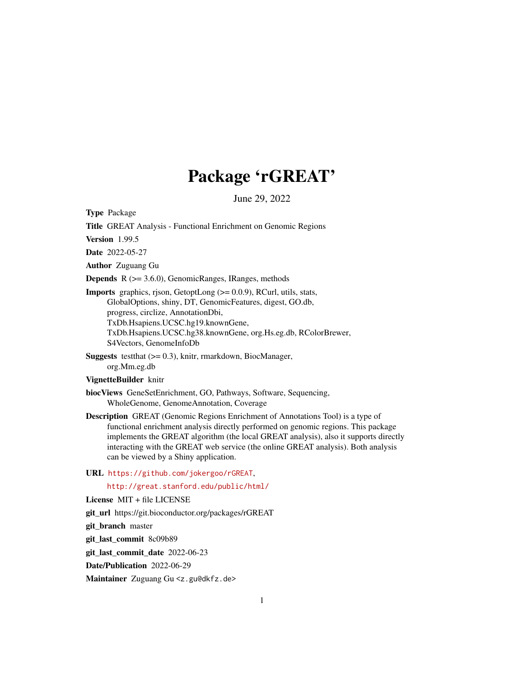# Package 'rGREAT'

June 29, 2022

<span id="page-0-0"></span>Type Package

Title GREAT Analysis - Functional Enrichment on Genomic Regions

Version 1.99.5

Date 2022-05-27

Author Zuguang Gu

Depends R (>= 3.6.0), GenomicRanges, IRanges, methods

Imports graphics, rjson, GetoptLong (>= 0.0.9), RCurl, utils, stats, GlobalOptions, shiny, DT, GenomicFeatures, digest, GO.db, progress, circlize, AnnotationDbi, TxDb.Hsapiens.UCSC.hg19.knownGene, TxDb.Hsapiens.UCSC.hg38.knownGene, org.Hs.eg.db, RColorBrewer, S4Vectors, GenomeInfoDb

Suggests testthat (>= 0.3), knitr, rmarkdown, BiocManager, org.Mm.eg.db

# VignetteBuilder knitr

- biocViews GeneSetEnrichment, GO, Pathways, Software, Sequencing, WholeGenome, GenomeAnnotation, Coverage
- Description GREAT (Genomic Regions Enrichment of Annotations Tool) is a type of functional enrichment analysis directly performed on genomic regions. This package implements the GREAT algorithm (the local GREAT analysis), also it supports directly interacting with the GREAT web service (the online GREAT analysis). Both analysis can be viewed by a Shiny application.

URL <https://github.com/jokergoo/rGREAT>,

<http://great.stanford.edu/public/html/>

License MIT + file LICENSE

git\_url https://git.bioconductor.org/packages/rGREAT

git\_branch master

git\_last\_commit 8c09b89

git last commit date 2022-06-23

Date/Publication 2022-06-29

Maintainer Zuguang Gu <z.gu@dkfz.de>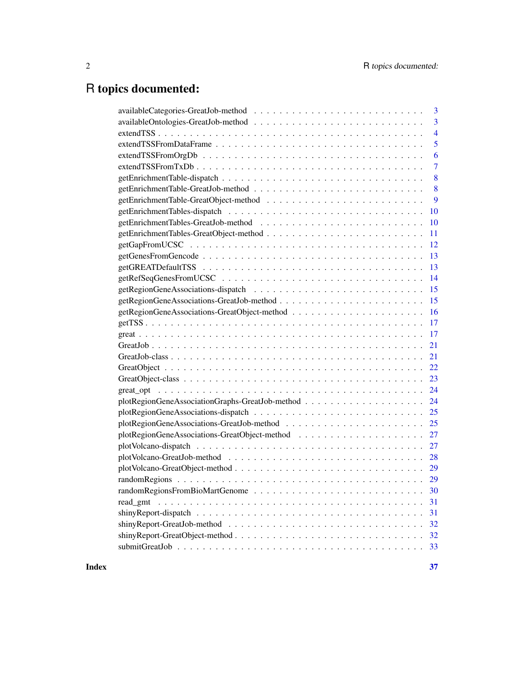# R topics documented:

|          | $\overline{3}$ |
|----------|----------------|
|          | 3              |
|          | $\overline{4}$ |
|          | 5              |
|          | 6              |
|          | $\overline{7}$ |
|          | 8              |
|          | 8              |
|          | 9              |
|          | 10             |
|          | 10             |
|          | 11             |
|          | 12             |
|          | 13             |
|          | 13             |
|          | 14             |
|          | 15             |
|          | 15             |
|          | 16             |
|          | 17             |
|          | 17             |
|          | 21             |
|          | 21             |
|          | 22             |
|          | 23             |
|          | 24             |
|          | 24             |
|          | 25             |
|          | 25             |
|          |                |
|          | 27             |
|          | 28             |
|          | 29             |
|          |                |
|          |                |
| read gmt | 31             |
|          | 31             |
|          | 32             |
|          | 32             |
|          | 33             |
|          |                |

**Index** [37](#page-36-0)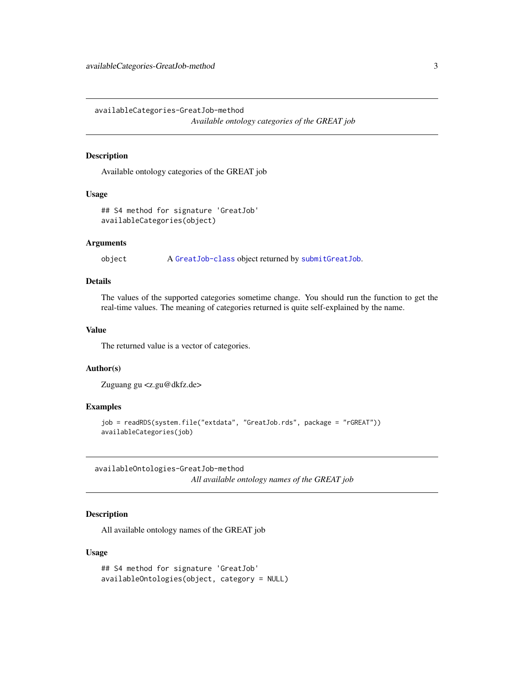<span id="page-2-0"></span>availableCategories-GreatJob-method *Available ontology categories of the GREAT job*

# <span id="page-2-1"></span>Description

Available ontology categories of the GREAT job

#### Usage

```
## S4 method for signature 'GreatJob'
availableCategories(object)
```
#### Arguments

object A [GreatJob-class](#page-20-1) object returned by [submitGreatJob](#page-32-1).

#### Details

The values of the supported categories sometime change. You should run the function to get the real-time values. The meaning of categories returned is quite self-explained by the name.

# Value

The returned value is a vector of categories.

#### Author(s)

Zuguang gu <z.gu@dkfz.de>

#### Examples

```
job = readRDS(system.file("extdata", "GreatJob.rds", package = "rGREAT"))
availableCategories(job)
```
availableOntologies-GreatJob-method *All available ontology names of the GREAT job*

#### <span id="page-2-2"></span>Description

All available ontology names of the GREAT job

#### Usage

```
## S4 method for signature 'GreatJob'
availableOntologies(object, category = NULL)
```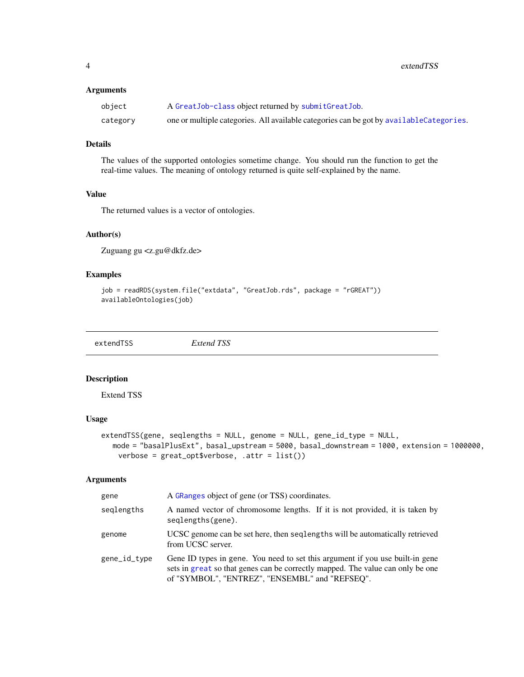<span id="page-3-0"></span>4 extendTSS

# Arguments

| object   | A GreatJob-class object returned by submitGreatJob.                                      |
|----------|------------------------------------------------------------------------------------------|
| category | one or multiple categories. All available categories can be got by available Categories. |

# Details

The values of the supported ontologies sometime change. You should run the function to get the real-time values. The meaning of ontology returned is quite self-explained by the name.

# Value

The returned values is a vector of ontologies.

# Author(s)

Zuguang gu <z.gu@dkfz.de>

#### Examples

```
job = readRDS(system.file("extdata", "GreatJob.rds", package = "rGREAT"))
availableOntologies(job)
```
<span id="page-3-1"></span>extendTSS *Extend TSS*

#### Description

Extend TSS

# Usage

```
extendTSS(gene, seqlengths = NULL, genome = NULL, gene_id_type = NULL,
  mode = "basalPlusExt", basal_upstream = 5000, basal_downstream = 1000, extension = 1000000,
    verbose = great_opt$verbose, .attr = list())
```
# Arguments

| gene         | A GRanges object of gene (or TSS) coordinates.                                                                                                                                                                    |  |
|--------------|-------------------------------------------------------------------------------------------------------------------------------------------------------------------------------------------------------------------|--|
| seglengths   | A named vector of chromosome lengths. If it is not provided, it is taken by<br>seqlengths(gene).                                                                                                                  |  |
| genome       | UCSC genome can be set here, then seqlengths will be automatically retrieved<br>from UCSC server.                                                                                                                 |  |
| gene_id_type | Gene ID types in gene. You need to set this argument if you use built-in gene<br>sets in great so that genes can be correctly mapped. The value can only be one<br>of "SYMBOL", "ENTREZ", "ENSEMBL" and "REFSEQ". |  |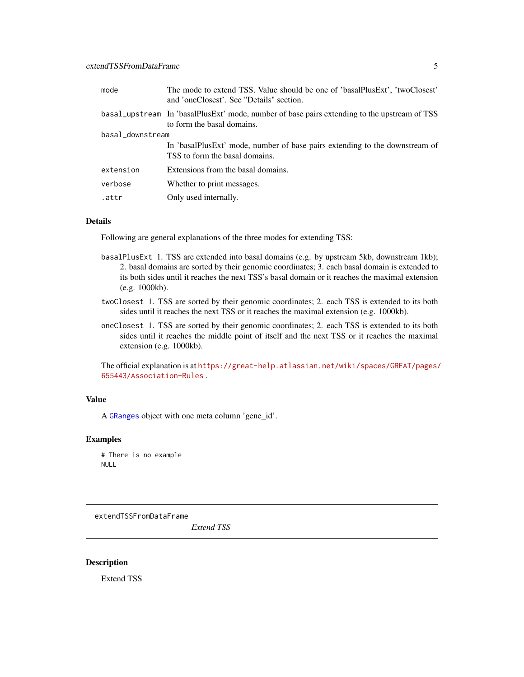<span id="page-4-0"></span>

| mode             | The mode to extend TSS. Value should be one of 'basalPlusExt', 'twoClosest'<br>and 'oneClosest'. See "Details" section.    |  |
|------------------|----------------------------------------------------------------------------------------------------------------------------|--|
|                  | basal_upstream In 'basalPlusExt' mode, number of base pairs extending to the upstream of TSS<br>to form the basal domains. |  |
| basal_downstream |                                                                                                                            |  |
|                  | In 'basalPlusExt' mode, number of base pairs extending to the downstream of<br>TSS to form the basal domains.              |  |
| extension        | Extensions from the basal domains.                                                                                         |  |
| verbose          | Whether to print messages.                                                                                                 |  |
| .attr            | Only used internally.                                                                                                      |  |

### Details

Following are general explanations of the three modes for extending TSS:

- basalPlusExt 1. TSS are extended into basal domains (e.g. by upstream 5kb, downstream 1kb); 2. basal domains are sorted by their genomic coordinates; 3. each basal domain is extended to its both sides until it reaches the next TSS's basal domain or it reaches the maximal extension (e.g. 1000kb).
- twoClosest 1. TSS are sorted by their genomic coordinates; 2. each TSS is extended to its both sides until it reaches the next TSS or it reaches the maximal extension (e.g. 1000kb).
- oneClosest 1. TSS are sorted by their genomic coordinates; 2. each TSS is extended to its both sides until it reaches the middle point of itself and the next TSS or it reaches the maximal extension (e.g. 1000kb).

The official explanation is at [https://great-help.atlassian.net/wiki/spaces/GREAT/pages/](https://great-help.atlassian.net/wiki/spaces/GREAT/pages/655443/Association+Rules) [655443/Association+Rules](https://great-help.atlassian.net/wiki/spaces/GREAT/pages/655443/Association+Rules) .

# Value

A [GRanges](#page-0-0) object with one meta column 'gene\_id'.

#### Examples

# There is no example NULL

<span id="page-4-1"></span>extendTSSFromDataFrame

*Extend TSS*

#### Description

Extend TSS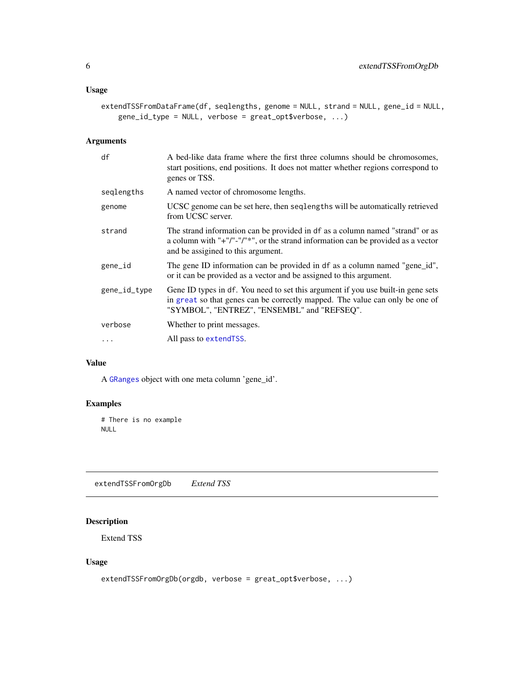# <span id="page-5-0"></span>Usage

```
extendTSSFromDataFrame(df, seqlengths, genome = NULL, strand = NULL, gene_id = NULL,
    gene_id_type = NULL, verbose = great_opt$verbose, ...)
```
# Arguments

| df           | A bed-like data frame where the first three columns should be chromosomes,<br>start positions, end positions. It does not matter whether regions correspond to<br>genes or TSS.                                 |
|--------------|-----------------------------------------------------------------------------------------------------------------------------------------------------------------------------------------------------------------|
| seglengths   | A named vector of chromosome lengths.                                                                                                                                                                           |
| genome       | UCSC genome can be set here, then seqlengths will be automatically retrieved<br>from UCSC server.                                                                                                               |
| strand       | The strand information can be provided in df as a column named "strand" or as<br>a column with "+"/"-"/"*", or the strand information can be provided as a vector<br>and be assigined to this argument.         |
| gene_id      | The gene ID information can be provided in df as a column named "gene_id",<br>or it can be provided as a vector and be assigned to this argument.                                                               |
| gene_id_type | Gene ID types in df. You need to set this argument if you use built-in gene sets<br>in great so that genes can be correctly mapped. The value can only be one of<br>"SYMBOL", "ENTREZ", "ENSEMBL" and "REFSEQ". |
| verbose      | Whether to print messages.                                                                                                                                                                                      |
| $\cdots$     | All pass to extend TSS.                                                                                                                                                                                         |

# Value

A [GRanges](#page-0-0) object with one meta column 'gene\_id'.

# Examples

# There is no example NULL

extendTSSFromOrgDb *Extend TSS*

# Description

Extend TSS

# Usage

```
extendTSSFromOrgDb(orgdb, verbose = great_opt$verbose, ...)
```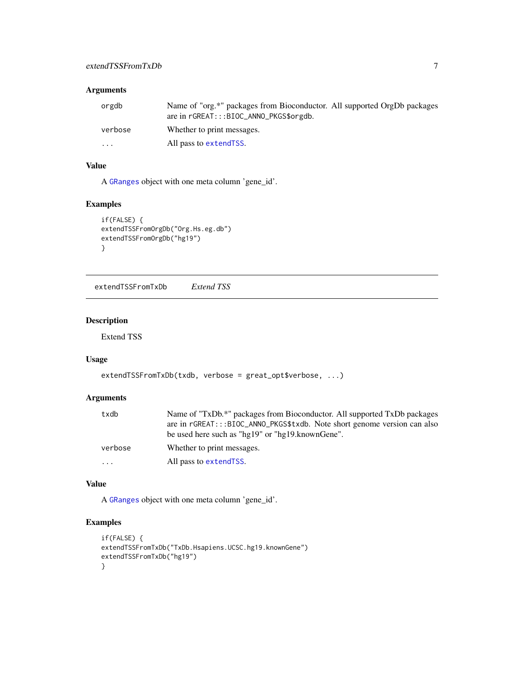# <span id="page-6-0"></span>Arguments

| orgdb    | Name of "org.*" packages from Bioconductor. All supported OrgDb packages<br>are in rGREAT:::BIOC_ANNO_PKGS\$orgdb. |
|----------|--------------------------------------------------------------------------------------------------------------------|
| verbose  | Whether to print messages.                                                                                         |
| $\cdots$ | All pass to extend TSS.                                                                                            |

# Value

A [GRanges](#page-0-0) object with one meta column 'gene\_id'.

# Examples

```
if(FALSE) {
extendTSSFromOrgDb("Org.Hs.eg.db")
extendTSSFromOrgDb("hg19")
}
```
extendTSSFromTxDb *Extend TSS*

# Description

Extend TSS

# Usage

```
extendTSSFromTxDb(txdb, verbose = great_opt$verbose, ...)
```
# Arguments

| txdb    | Name of "TxDb.*" packages from Bioconductor. All supported TxDb packages |
|---------|--------------------------------------------------------------------------|
|         | are in rGREAT:::BIOC_ANNO_PKGS\$txdb. Note short genome version can also |
|         | be used here such as "hg19" or "hg19.knownGene".                         |
| verbose | Whether to print messages.                                               |
| .       | All pass to extend TSS.                                                  |

# Value

A [GRanges](#page-0-0) object with one meta column 'gene\_id'.

# Examples

```
if(FALSE) {
extendTSSFromTxDb("TxDb.Hsapiens.UCSC.hg19.knownGene")
extendTSSFromTxDb("hg19")
}
```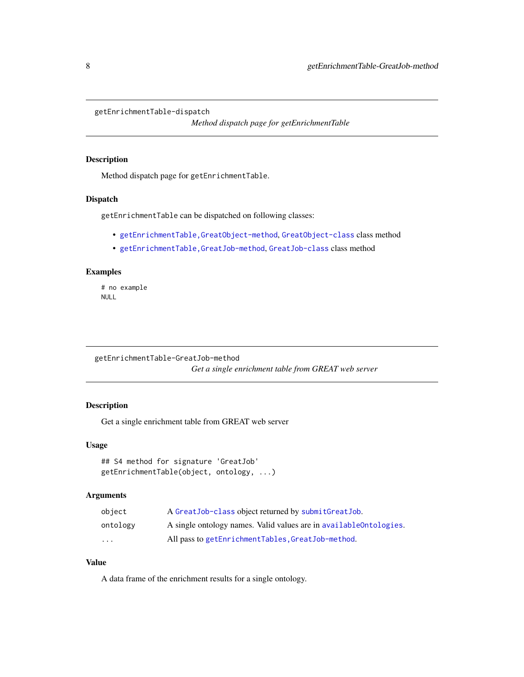<span id="page-7-0"></span>getEnrichmentTable-dispatch

*Method dispatch page for getEnrichmentTable*

# Description

Method dispatch page for getEnrichmentTable.

### Dispatch

getEnrichmentTable can be dispatched on following classes:

- [getEnrichmentTable,GreatObject-method](#page-0-0), [GreatObject-class](#page-22-1) class method
- [getEnrichmentTable,GreatJob-method](#page-0-0), [GreatJob-class](#page-20-1) class method

# Examples

# no example NULL

getEnrichmentTable-GreatJob-method *Get a single enrichment table from GREAT web server*

# Description

Get a single enrichment table from GREAT web server

#### Usage

```
## S4 method for signature 'GreatJob'
getEnrichmentTable(object, ontology, ...)
```
# Arguments

| obiect                  | A Great Job-class object returned by submit Great Job.             |
|-------------------------|--------------------------------------------------------------------|
| ontology                | A single ontology names. Valid values are in available ontologies. |
| $\cdot$ $\cdot$ $\cdot$ | All pass to getEnrichmentTables, GreatJob-method.                  |

# Value

A data frame of the enrichment results for a single ontology.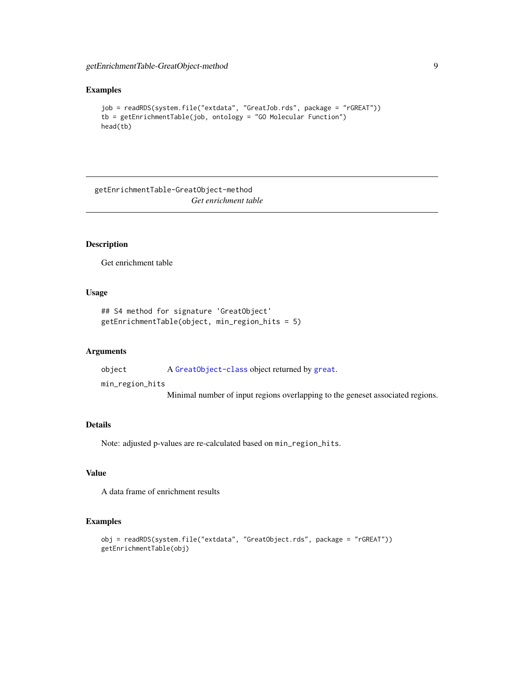#### <span id="page-8-0"></span>Examples

```
job = readRDS(system.file("extdata", "GreatJob.rds", package = "rGREAT"))
tb = getEnrichmentTable(job, ontology = "GO Molecular Function")
head(tb)
```
getEnrichmentTable-GreatObject-method *Get enrichment table*

# Description

Get enrichment table

#### Usage

```
## S4 method for signature 'GreatObject'
getEnrichmentTable(object, min_region_hits = 5)
```
#### Arguments

object A [GreatObject-class](#page-22-1) object returned by [great](#page-16-1). min\_region\_hits Minimal number of input regions overlapping to the geneset associated regions.

# Details

Note: adjusted p-values are re-calculated based on min\_region\_hits.

# Value

A data frame of enrichment results

#### Examples

```
obj = readRDS(system.file("extdata", "GreatObject.rds", package = "rGREAT"))
getEnrichmentTable(obj)
```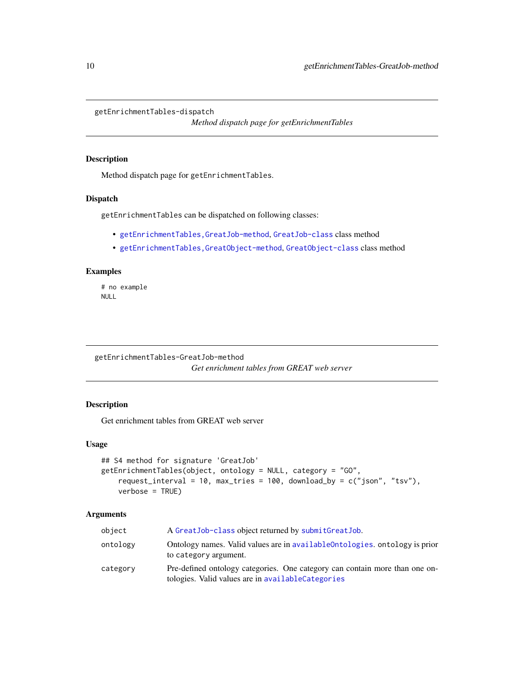<span id="page-9-0"></span>getEnrichmentTables-dispatch

*Method dispatch page for getEnrichmentTables*

### <span id="page-9-1"></span>Description

Method dispatch page for getEnrichmentTables.

# Dispatch

getEnrichmentTables can be dispatched on following classes:

- [getEnrichmentTables,GreatJob-method](#page-0-0), [GreatJob-class](#page-20-1) class method
- [getEnrichmentTables,GreatObject-method](#page-0-0), [GreatObject-class](#page-22-1) class method

#### Examples

# no example NULL

getEnrichmentTables-GreatJob-method *Get enrichment tables from GREAT web server*

# Description

Get enrichment tables from GREAT web server

#### Usage

```
## S4 method for signature 'GreatJob'
getEnrichmentTables(object, ontology = NULL, category = "GO",
   request_interval = 10, max_tries = 100, download_by = c("json", "tsv"),
   verbose = TRUE)
```
#### Arguments

| object   | A Great Job-class object returned by submit Great Job.                                                                           |
|----------|----------------------------------------------------------------------------------------------------------------------------------|
| ontology | Ontology names. Valid values are in available Ontologies, ontology is prior<br>to category argument.                             |
| category | Pre-defined ontology categories. One category can contain more than one on-<br>tologies. Valid values are in availableCategories |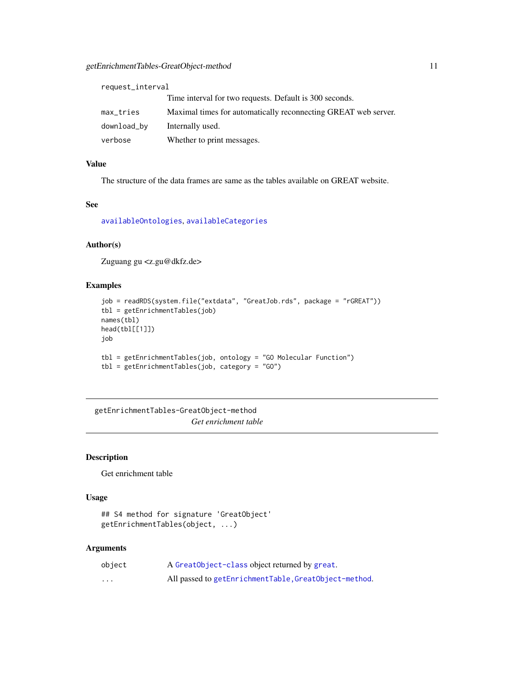<span id="page-10-0"></span>

| request_interval |                                                                |  |
|------------------|----------------------------------------------------------------|--|
|                  | Time interval for two requests. Default is 300 seconds.        |  |
| max_tries        | Maximal times for automatically reconnecting GREAT web server. |  |
| download_by      | Internally used.                                               |  |
| verbose          | Whether to print messages.                                     |  |

# Value

The structure of the data frames are same as the tables available on GREAT website.

# See

[availableOntologies](#page-2-2), [availableCategories](#page-2-1)

# Author(s)

Zuguang gu <z.gu@dkfz.de>

# Examples

```
job = readRDS(system.file("extdata", "GreatJob.rds", package = "rGREAT"))
tbl = getEnrichmentTables(job)
names(tbl)
head(tbl[[1]])
job
tbl = getEnrichmentTables(job, ontology = "GO Molecular Function")
tbl = getEnrichmentTables(job, category = "GO")
```
getEnrichmentTables-GreatObject-method *Get enrichment table*

### Description

Get enrichment table

# Usage

```
## S4 method for signature 'GreatObject'
getEnrichmentTables(object, ...)
```
#### Arguments

| object | A Great Object-class object returned by great.        |
|--------|-------------------------------------------------------|
| .      | All passed to getEnrichmentTable, GreatObject-method. |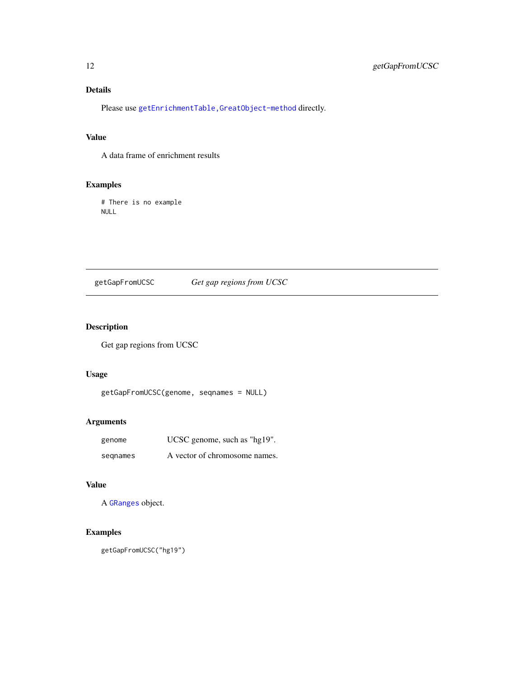# <span id="page-11-0"></span>Details

Please use [getEnrichmentTable,GreatObject-method](#page-0-0) directly.

# Value

A data frame of enrichment results

# Examples

# There is no example NULL

# <span id="page-11-1"></span>getGapFromUCSC *Get gap regions from UCSC*

# Description

Get gap regions from UCSC

# Usage

```
getGapFromUCSC(genome, seqnames = NULL)
```
# Arguments

| genome   | $UCSC$ genome, such as "hg $19$ ". |
|----------|------------------------------------|
| segnames | A vector of chromosome names.      |

# Value

A [GRanges](#page-0-0) object.

# Examples

getGapFromUCSC("hg19")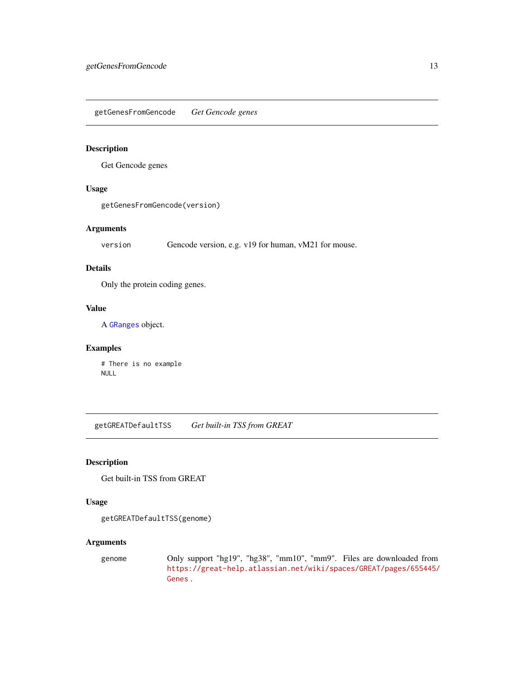<span id="page-12-0"></span>getGenesFromGencode *Get Gencode genes*

# Description

Get Gencode genes

# Usage

getGenesFromGencode(version)

# Arguments

version Gencode version, e.g. v19 for human, vM21 for mouse.

### Details

Only the protein coding genes.

## Value

A [GRanges](#page-0-0) object.

# Examples

# There is no example NULL

getGREATDefaultTSS *Get built-in TSS from GREAT*

# Description

Get built-in TSS from GREAT

### Usage

```
getGREATDefaultTSS(genome)
```
# Arguments

genome Only support "hg19", "hg38", "mm10", "mm9". Files are downloaded from [https://great-help.atlassian.net/wiki/spaces/GREAT/pages/655445/](https://great-help.atlassian.net/wiki/spaces/GREAT/pages/655445/Genes) [Genes](https://great-help.atlassian.net/wiki/spaces/GREAT/pages/655445/Genes) .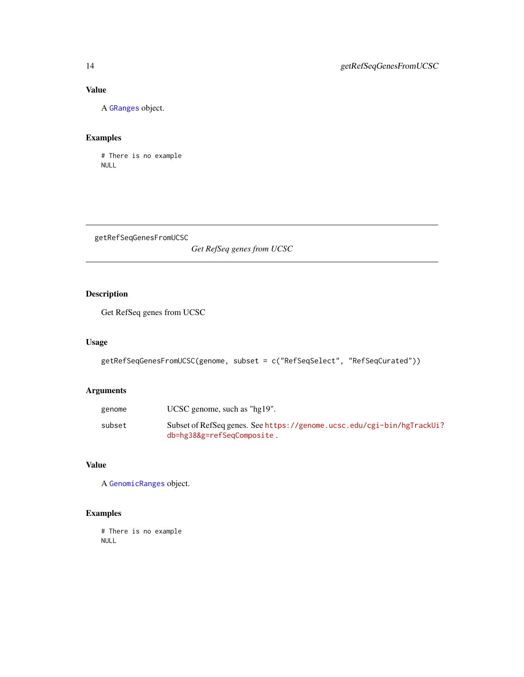# Value

A [GRanges](#page-0-0) object.

# Examples

# There is no example NULL

getRefSeqGenesFromUCSC

*Get RefSeq genes from UCSC*

# Description

Get RefSeq genes from UCSC

# Usage

```
getRefSeqGenesFromUCSC(genome, subset = c("RefSeqSelect", "RefSeqCurated"))
```
# Arguments

| genome | UCSC genome, such as " $hg19"$ .                                                                     |
|--------|------------------------------------------------------------------------------------------------------|
| subset | Subset of RefSeq genes. See https://genome.ucsc.edu/cgi-bin/hgTrackUi?<br>db=hg38&g=refSeqComposite. |

# Value

A [GenomicRanges](#page-0-0) object.

# Examples

# There is no example NULL

<span id="page-13-0"></span>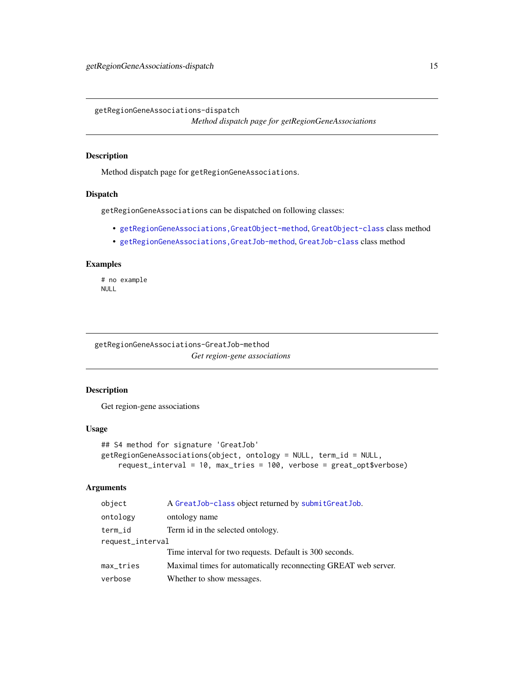<span id="page-14-0"></span>getRegionGeneAssociations-dispatch

*Method dispatch page for getRegionGeneAssociations*

# Description

Method dispatch page for getRegionGeneAssociations.

# Dispatch

getRegionGeneAssociations can be dispatched on following classes:

- [getRegionGeneAssociations,GreatObject-method](#page-0-0), [GreatObject-class](#page-22-1) class method
- [getRegionGeneAssociations,GreatJob-method](#page-0-0), [GreatJob-class](#page-20-1) class method

# Examples

# no example NULL

getRegionGeneAssociations-GreatJob-method *Get region-gene associations*

# Description

Get region-gene associations

#### Usage

```
## S4 method for signature 'GreatJob'
getRegionGeneAssociations(object, ontology = NULL, term_id = NULL,
   request_interval = 10, max_tries = 100, verbose = great_opt$verbose)
```
#### Arguments

| object           | A Great Job-class object returned by submit Great Job.         |
|------------------|----------------------------------------------------------------|
| ontology         | ontology name                                                  |
| term_id          | Term id in the selected ontology.                              |
| request_interval |                                                                |
|                  | Time interval for two requests. Default is 300 seconds.        |
| max_tries        | Maximal times for automatically reconnecting GREAT web server. |
| verbose          | Whether to show messages.                                      |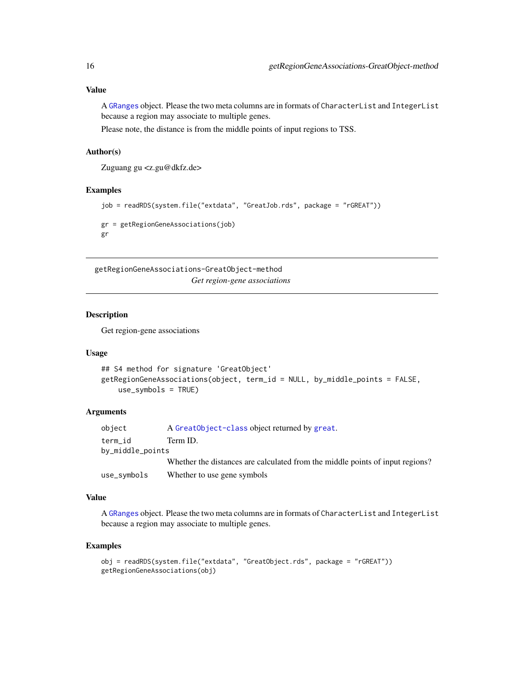# <span id="page-15-0"></span>Value

A [GRanges](#page-0-0) object. Please the two meta columns are in formats of CharacterList and IntegerList because a region may associate to multiple genes.

Please note, the distance is from the middle points of input regions to TSS.

# Author(s)

Zuguang gu <z.gu@dkfz.de>

### Examples

```
job = readRDS(system.file("extdata", "GreatJob.rds", package = "rGREAT"))
gr = getRegionGeneAssociations(job)
gr
```
getRegionGeneAssociations-GreatObject-method *Get region-gene associations*

# Description

Get region-gene associations

# Usage

```
## S4 method for signature 'GreatObject'
getRegionGeneAssociations(object, term_id = NULL, by_middle_points = FALSE,
   use_symbols = TRUE)
```
### Arguments

| object           | A Great Object-class object returned by great.                                |
|------------------|-------------------------------------------------------------------------------|
| term id          | Term ID.                                                                      |
| by_middle_points |                                                                               |
|                  | Whether the distances are calculated from the middle points of input regions? |
| use_symbols      | Whether to use gene symbols                                                   |

# Value

A [GRanges](#page-0-0) object. Please the two meta columns are in formats of CharacterList and IntegerList because a region may associate to multiple genes.

# Examples

```
obj = readRDS(system.file("extdata", "GreatObject.rds", package = "rGREAT"))
getRegionGeneAssociations(obj)
```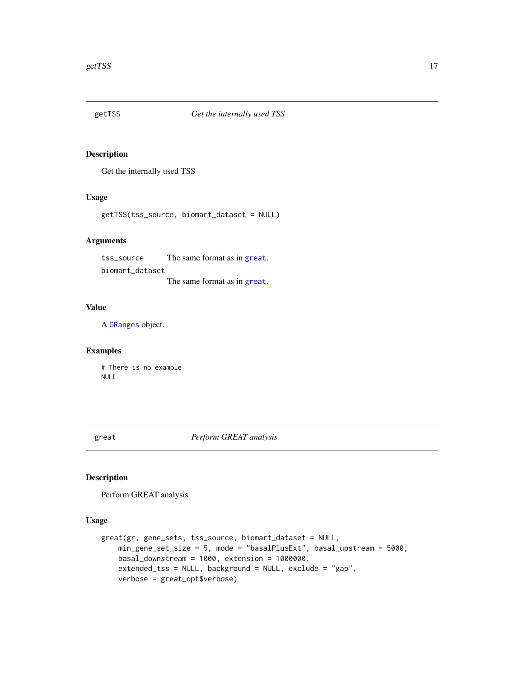<span id="page-16-2"></span><span id="page-16-0"></span>

# Description

Get the internally used TSS

# Usage

getTSS(tss\_source, biomart\_dataset = NULL)

# Arguments

tss\_source The same format as in [great](#page-16-1). biomart\_dataset The same format as in [great](#page-16-1).

### Value

A [GRanges](#page-0-0) object.

# Examples

# There is no example NULL

<span id="page-16-1"></span>great *Perform GREAT analysis*

# Description

Perform GREAT analysis

# Usage

```
great(gr, gene_sets, tss_source, biomart_dataset = NULL,
    min_gene_set_size = 5, mode = "basalPlusExt", basal_upstream = 5000,
   basal_downstream = 1000, extension = 1000000,
    extended_tss = NULL, background = NULL, exclude = "gap",
    verbose = great_opt$verbose)
```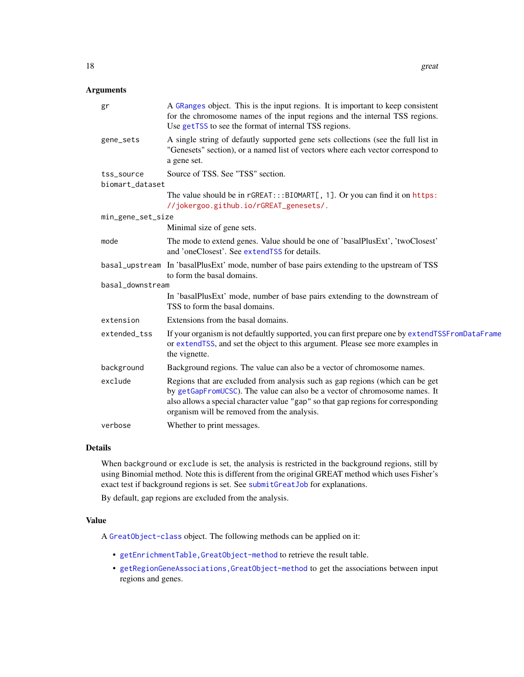# <span id="page-17-0"></span>Arguments

| gr                            | A GRanges object. This is the input regions. It is important to keep consistent<br>for the chromosome names of the input regions and the internal TSS regions.<br>Use getTSS to see the format of internal TSS regions.                                                                         |
|-------------------------------|-------------------------------------------------------------------------------------------------------------------------------------------------------------------------------------------------------------------------------------------------------------------------------------------------|
| gene_sets                     | A single string of defautly supported gene sets collections (see the full list in<br>"Genesets" section), or a named list of vectors where each vector correspond to<br>a gene set.                                                                                                             |
| tss_source<br>biomart_dataset | Source of TSS. See "TSS" section.                                                                                                                                                                                                                                                               |
|                               | The value should be in rGREAT::: BIOMART[, 1]. Or you can find it on https:<br>//jokergoo.github.io/rGREAT_genesets/.                                                                                                                                                                           |
| min_gene_set_size             |                                                                                                                                                                                                                                                                                                 |
|                               | Minimal size of gene sets.                                                                                                                                                                                                                                                                      |
| mode                          | The mode to extend genes. Value should be one of 'basalPlusExt', 'twoClosest'<br>and 'oneClosest'. See extendTSS for details.                                                                                                                                                                   |
|                               | basal_upstream In 'basalPlusExt' mode, number of base pairs extending to the upstream of TSS<br>to form the basal domains.                                                                                                                                                                      |
| basal_downstream              |                                                                                                                                                                                                                                                                                                 |
|                               | In 'basalPlusExt' mode, number of base pairs extending to the downstream of<br>TSS to form the basal domains.                                                                                                                                                                                   |
| extension                     | Extensions from the basal domains.                                                                                                                                                                                                                                                              |
| extended_tss                  | If your organism is not defaultly supported, you can first prepare one by extendTSSFromDataFrame<br>or extendTSS, and set the object to this argument. Please see more examples in<br>the vignette.                                                                                             |
| background                    | Background regions. The value can also be a vector of chromosome names.                                                                                                                                                                                                                         |
| exclude                       | Regions that are excluded from analysis such as gap regions (which can be get<br>by getGapFromUCSC). The value can also be a vector of chromosome names. It<br>also allows a special character value "gap" so that gap regions for corresponding<br>organism will be removed from the analysis. |
| verbose                       | Whether to print messages.                                                                                                                                                                                                                                                                      |

# Details

When background or exclude is set, the analysis is restricted in the background regions, still by using Binomial method. Note this is different from the original GREAT method which uses Fisher's exact test if background regions is set. See [submitGreatJob](#page-32-1) for explanations.

By default, gap regions are excluded from the analysis.

# Value

A [GreatObject-class](#page-22-1) object. The following methods can be applied on it:

- [getEnrichmentTable,GreatObject-method](#page-0-0) to retrieve the result table.
- [getRegionGeneAssociations,GreatObject-method](#page-0-0) to get the associations between input regions and genes.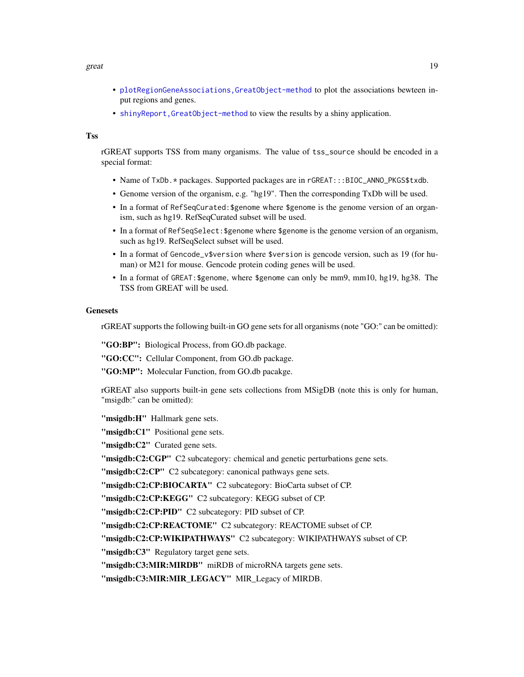#### great the contract of the contract of the contract of the contract of the contract of the contract of the contract of the contract of the contract of the contract of the contract of the contract of the contract of the cont

- [plotRegionGeneAssociations,GreatObject-method](#page-0-0) to plot the associations bewteen input regions and genes.
- [shinyReport,GreatObject-method](#page-0-0) to view the results by a shiny application.

# Tss

rGREAT supports TSS from many organisms. The value of tss\_source should be encoded in a special format:

- Name of TxDb. \* packages. Supported packages are in rGREAT::: BIOC\_ANNO\_PKGS\$txdb.
- Genome version of the organism, e.g. "hg19". Then the corresponding TxDb will be used.
- In a format of RefSeqCurated:\$genome where \$genome is the genome version of an organism, such as hg19. RefSeqCurated subset will be used.
- In a format of RefSeqSelect:\$genome where \$genome is the genome version of an organism, such as hg19. RefSeqSelect subset will be used.
- In a format of Gencode\_v\$version where \$version is gencode version, such as 19 (for human) or M21 for mouse. Gencode protein coding genes will be used.
- In a format of GREAT:\$genome, where \$genome can only be mm9, mm10, hg19, hg38. The TSS from GREAT will be used.

#### **Genesets**

rGREAT supports the following built-in GO gene sets for all organisms (note "GO:" can be omitted):

"GO:BP": Biological Process, from GO.db package.

"GO:CC": Cellular Component, from GO.db package.

"GO:MP": Molecular Function, from GO.db pacakge.

rGREAT also supports built-in gene sets collections from MSigDB (note this is only for human, "msigdb:" can be omitted):

"msigdb:H" Hallmark gene sets.

"msigdb:C1" Positional gene sets.

"msigdb:C2" Curated gene sets.

"msigdb:C2:CGP" C2 subcategory: chemical and genetic perturbations gene sets.

"msigdb:C2:CP" C2 subcategory: canonical pathways gene sets.

"msigdb:C2:CP:BIOCARTA" C2 subcategory: BioCarta subset of CP.

"msigdb:C2:CP:KEGG" C2 subcategory: KEGG subset of CP.

"msigdb:C2:CP:PID" C2 subcategory: PID subset of CP.

"msigdb:C2:CP:REACTOME" C2 subcategory: REACTOME subset of CP.

"msigdb:C2:CP:WIKIPATHWAYS" C2 subcategory: WIKIPATHWAYS subset of CP.

"msigdb:C3" Regulatory target gene sets.

"msigdb:C3:MIR:MIRDB" miRDB of microRNA targets gene sets.

"msigdb:C3:MIR:MIR\_LEGACY" MIR\_Legacy of MIRDB.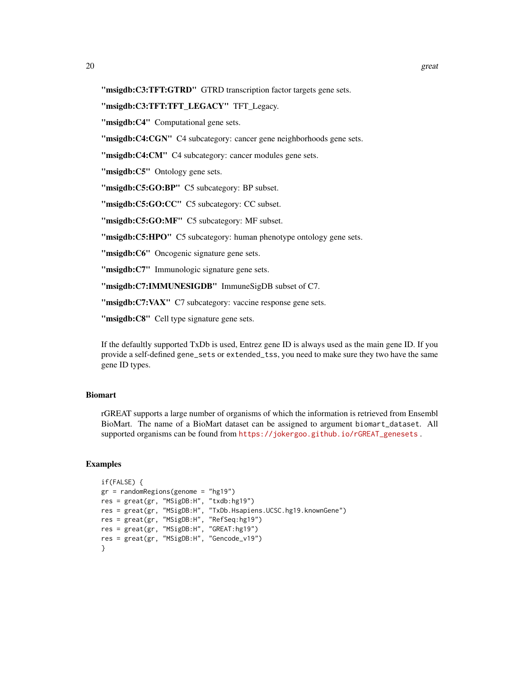"msigdb:C3:TFT:GTRD" GTRD transcription factor targets gene sets.

### "msigdb:C3:TFT:TFT\_LEGACY" TFT\_Legacy.

"msigdb:C4" Computational gene sets.

"msigdb:C4:CGN" C4 subcategory: cancer gene neighborhoods gene sets.

"msigdb:C4:CM" C4 subcategory: cancer modules gene sets.

"msigdb:C5" Ontology gene sets.

"msigdb:C5:GO:BP" C5 subcategory: BP subset.

"msigdb:C5:GO:CC" C5 subcategory: CC subset.

"msigdb:C5:GO:MF" C5 subcategory: MF subset.

"msigdb:C5:HPO" C5 subcategory: human phenotype ontology gene sets.

"msigdb:C6" Oncogenic signature gene sets.

"msigdb:C7" Immunologic signature gene sets.

"msigdb:C7:IMMUNESIGDB" ImmuneSigDB subset of C7.

"msigdb:C7:VAX" C7 subcategory: vaccine response gene sets.

"msigdb:C8" Cell type signature gene sets.

If the defaultly supported TxDb is used, Entrez gene ID is always used as the main gene ID. If you provide a self-defined gene\_sets or extended\_tss, you need to make sure they two have the same gene ID types.

# Biomart

rGREAT supports a large number of organisms of which the information is retrieved from Ensembl BioMart. The name of a BioMart dataset can be assigned to argument biomart\_dataset. All supported organisms can be found from [https://jokergoo.github.io/rGREAT\\_genesets](https://jokergoo.github.io/rGREAT_genesets) .

#### Examples

```
if(FALSE) {
gr = randomRegion (genome = "hg19")res = great(gr, "MSigDB:H", "txdb:hg19")
res = great(gr, "MSigDB:H", "TxDb.Hsapiens.UCSC.hg19.knownGene")
res = great(gr, "MSigDB:H", "RefSeq:hg19")
res = great(gr, "MSigDB:H", "GREAT:hg19")
res = great(gr, "MSigDB:H", "Gencode_v19")
}
```
20 great control and the control of the control of the control of the control of the control of the control of the control of the control of the control of the control of the control of the control of the control of the co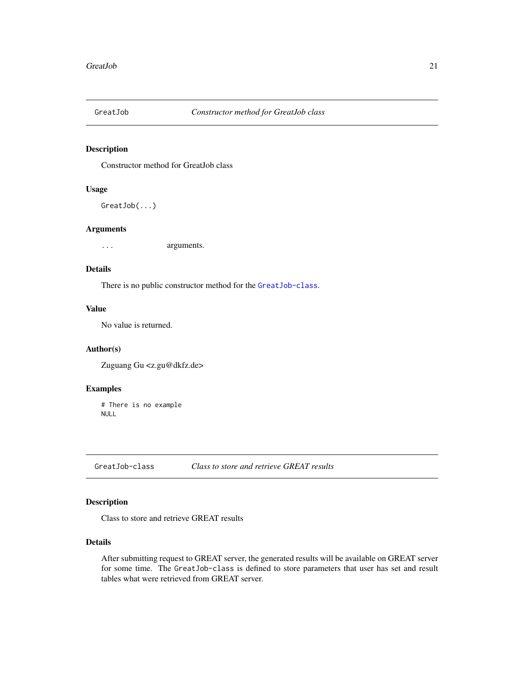<span id="page-20-0"></span>

# Description

Constructor method for GreatJob class

### Usage

GreatJob(...)

#### Arguments

... arguments.

#### Details

There is no public constructor method for the [GreatJob-class](#page-20-1).

#### Value

No value is returned.

# Author(s)

Zuguang Gu <z.gu@dkfz.de>

#### Examples

# There is no example NULL

<span id="page-20-1"></span>GreatJob-class *Class to store and retrieve GREAT results*

# Description

Class to store and retrieve GREAT results

#### Details

After submitting request to GREAT server, the generated results will be available on GREAT server for some time. The GreatJob-class is defined to store parameters that user has set and result tables what were retrieved from GREAT server.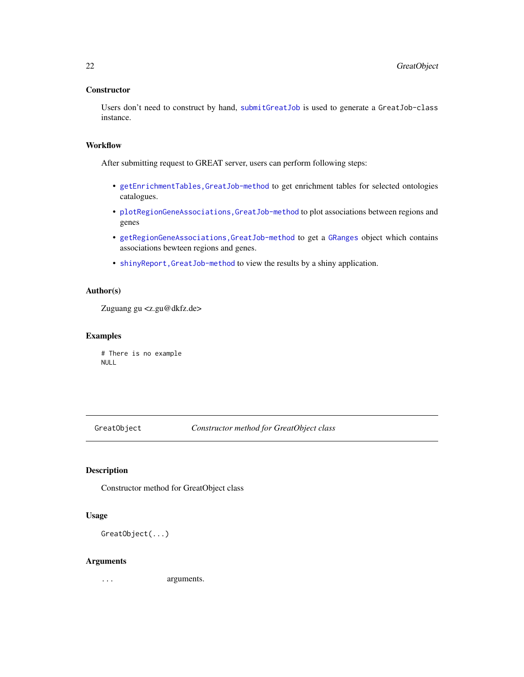### <span id="page-21-0"></span>**Constructor**

Users don't need to construct by hand, [submitGreatJob](#page-32-1) is used to generate a GreatJob-class instance.

### **Workflow**

After submitting request to GREAT server, users can perform following steps:

- [getEnrichmentTables,GreatJob-method](#page-0-0) to get enrichment tables for selected ontologies catalogues.
- [plotRegionGeneAssociations,GreatJob-method](#page-0-0) to plot associations between regions and genes
- [getRegionGeneAssociations,GreatJob-method](#page-0-0) to get a [GRanges](#page-0-0) object which contains associations bewteen regions and genes.
- [shinyReport,GreatJob-method](#page-0-0) to view the results by a shiny application.

# Author(s)

Zuguang gu <z.gu@dkfz.de>

#### Examples

# There is no example NULL

GreatObject *Constructor method for GreatObject class*

# Description

Constructor method for GreatObject class

#### Usage

GreatObject(...)

#### Arguments

... arguments.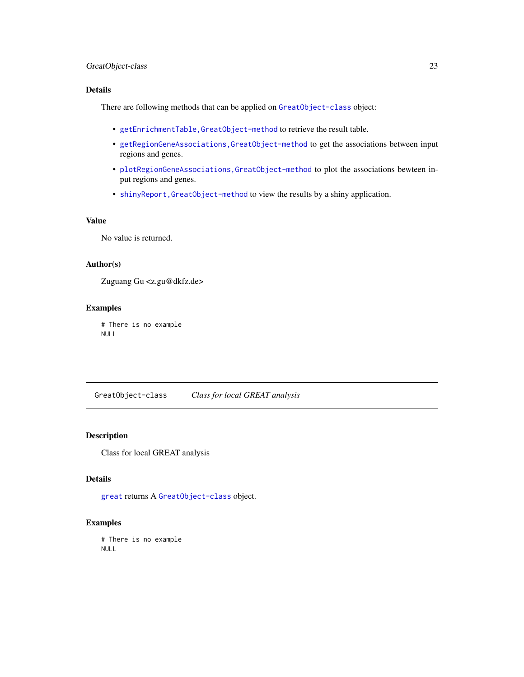# <span id="page-22-0"></span>GreatObject-class 23

# Details

There are following methods that can be applied on [GreatObject-class](#page-22-1) object:

- [getEnrichmentTable,GreatObject-method](#page-0-0) to retrieve the result table.
- [getRegionGeneAssociations,GreatObject-method](#page-0-0) to get the associations between input regions and genes.
- [plotRegionGeneAssociations,GreatObject-method](#page-0-0) to plot the associations bewteen input regions and genes.
- [shinyReport,GreatObject-method](#page-0-0) to view the results by a shiny application.

# Value

No value is returned.

# Author(s)

Zuguang Gu <z.gu@dkfz.de>

### Examples

# There is no example NULL

<span id="page-22-1"></span>GreatObject-class *Class for local GREAT analysis*

### Description

Class for local GREAT analysis

# Details

[great](#page-16-1) returns A [GreatObject-class](#page-22-1) object.

### Examples

# There is no example NULL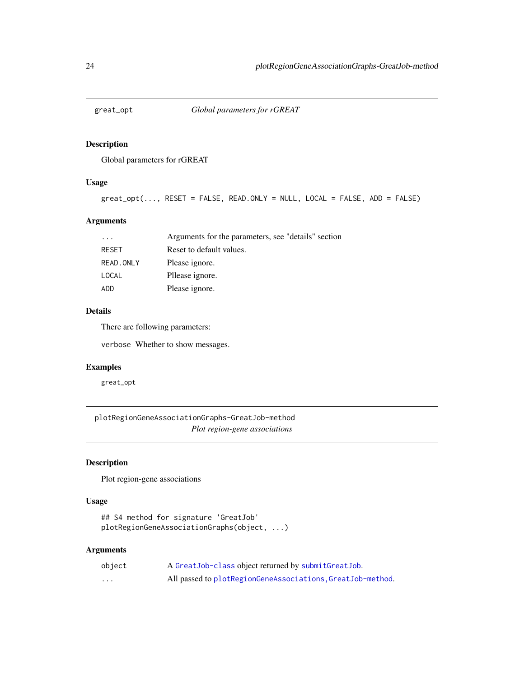<span id="page-23-0"></span>

#### Description

Global parameters for rGREAT

# Usage

```
great_opt(..., RESET = FALSE, READ.ONLY = NULL, LOCAL = FALSE, ADD = FALSE)
```
# Arguments

| $\cdot$ $\cdot$ $\cdot$ | Arguments for the parameters, see "details" section |
|-------------------------|-----------------------------------------------------|
| <b>RESET</b>            | Reset to default values.                            |
| READ, ONLY              | Please ignore.                                      |
| LOCAL                   | Pllease ignore.                                     |
| ADD                     | Please ignore.                                      |

# Details

There are following parameters:

verbose Whether to show messages.

# Examples

great\_opt

plotRegionGeneAssociationGraphs-GreatJob-method *Plot region-gene associations*

# Description

Plot region-gene associations

#### Usage

## S4 method for signature 'GreatJob' plotRegionGeneAssociationGraphs(object, ...)

# Arguments

| object | A Great Job-class object returned by submit Great Job.     |
|--------|------------------------------------------------------------|
| .      | All passed to plotRegionGeneAssociations, GreatJob-method. |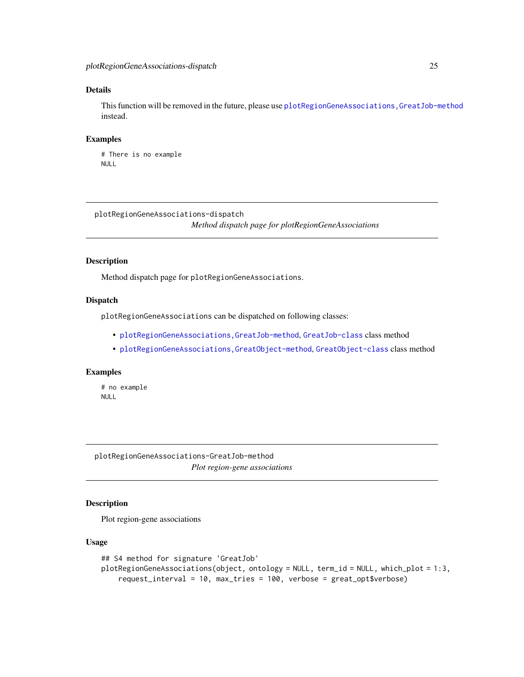### <span id="page-24-0"></span>Details

This function will be removed in the future, please use [plotRegionGeneAssociations,GreatJob-method](#page-0-0) instead.

#### Examples

```
# There is no example
NULL
```
plotRegionGeneAssociations-dispatch *Method dispatch page for plotRegionGeneAssociations*

# Description

Method dispatch page for plotRegionGeneAssociations.

#### Dispatch

plotRegionGeneAssociations can be dispatched on following classes:

- [plotRegionGeneAssociations,GreatJob-method](#page-0-0), [GreatJob-class](#page-20-1) class method
- [plotRegionGeneAssociations,GreatObject-method](#page-0-0), [GreatObject-class](#page-22-1) class method

# Examples

# no example NULL

plotRegionGeneAssociations-GreatJob-method *Plot region-gene associations*

# Description

Plot region-gene associations

#### Usage

```
## S4 method for signature 'GreatJob'
plotRegionGeneAssociations(object, ontology = NULL, term_id = NULL, which_plot = 1:3,
    request_interval = 10, max_tries = 100, verbose = great_opt$verbose)
```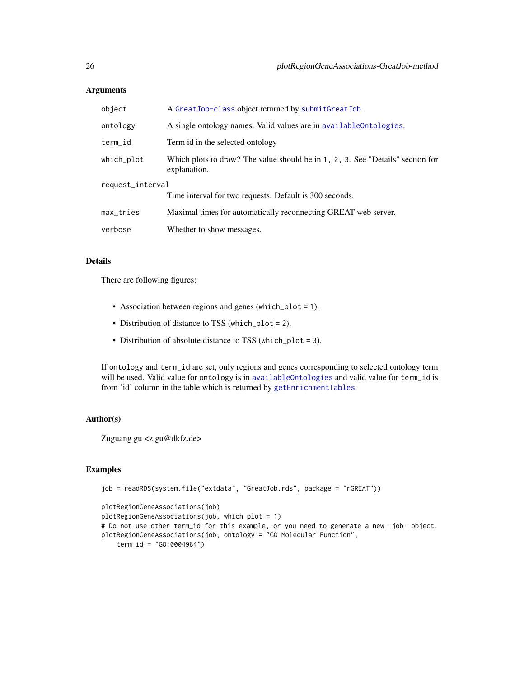### <span id="page-25-0"></span>Arguments

| object           | A Great Job-class object returned by submit Great Job.                                         |  |
|------------------|------------------------------------------------------------------------------------------------|--|
| ontology         | A single ontology names. Valid values are in availableOntologies.                              |  |
| term id          | Term id in the selected ontology                                                               |  |
| which_plot       | Which plots to draw? The value should be in 1, 2, 3. See "Details" section for<br>explanation. |  |
| request_interval |                                                                                                |  |
|                  | Time interval for two requests. Default is 300 seconds.                                        |  |
| max_tries        | Maximal times for automatically reconnecting GREAT web server.                                 |  |
| verbose          | Whether to show messages.                                                                      |  |

### Details

There are following figures:

- Association between regions and genes (which\_plot = 1).
- Distribution of distance to TSS (which\_plot = 2).
- Distribution of absolute distance to TSS (which\_plot = 3).

If ontology and term\_id are set, only regions and genes corresponding to selected ontology term will be used. Valid value for ontology is in [availableOntologies](#page-2-2) and valid value for term\_id is from 'id' column in the table which is returned by [getEnrichmentTables](#page-9-1).

# Author(s)

Zuguang gu <z.gu@dkfz.de>

# Examples

```
job = readRDS(system.file("extdata", "GreatJob.rds", package = "rGREAT"))
```

```
plotRegionGeneAssociations(job)
plotRegionGeneAssociations(job, which_plot = 1)
# Do not use other term_id for this example, or you need to generate a new `job` object.
plotRegionGeneAssociations(job, ontology = "GO Molecular Function",
    term_id = "GO:0004984")
```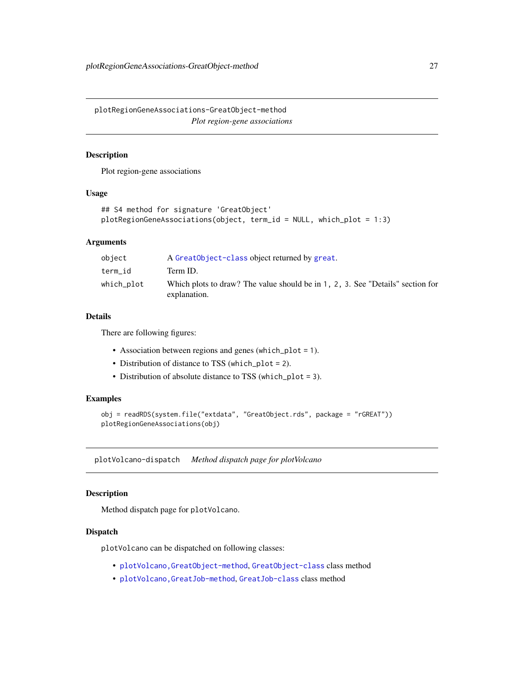<span id="page-26-0"></span>plotRegionGeneAssociations-GreatObject-method *Plot region-gene associations*

# Description

Plot region-gene associations

### Usage

```
## S4 method for signature 'GreatObject'
plotRegionGeneAssociations(object, term_id = NULL, which_plot = 1:3)
```
# Arguments

| object     | A Great Object-class object returned by great.                                                 |
|------------|------------------------------------------------------------------------------------------------|
| term id    | Term ID.                                                                                       |
| which_plot | Which plots to draw? The value should be in 1, 2, 3. See "Details" section for<br>explanation. |

# Details

There are following figures:

- Association between regions and genes (which\_plot = 1).
- Distribution of distance to TSS (which\_plot = 2).
- Distribution of absolute distance to TSS (which\_plot = 3).

# Examples

```
obj = readRDS(system.file("extdata", "GreatObject.rds", package = "rGREAT"))
plotRegionGeneAssociations(obj)
```
plotVolcano-dispatch *Method dispatch page for plotVolcano*

# Description

Method dispatch page for plotVolcano.

# Dispatch

plotVolcano can be dispatched on following classes:

- [plotVolcano,GreatObject-method](#page-0-0), [GreatObject-class](#page-22-1) class method
- [plotVolcano,GreatJob-method](#page-0-0), [GreatJob-class](#page-20-1) class method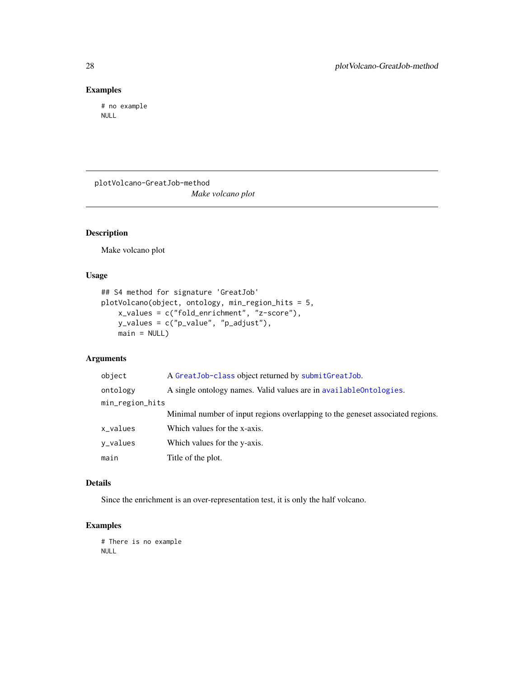# <span id="page-27-0"></span>Examples

# no example NULL

plotVolcano-GreatJob-method *Make volcano plot*

# Description

Make volcano plot

### Usage

```
## S4 method for signature 'GreatJob'
plotVolcano(object, ontology, min_region_hits = 5,
    x_values = c("fold_enrichment", "z-score"),
   y_values = c("p_value", "p_adjust"),
   main = NULL
```
# Arguments

| object          | A Great Job-class object returned by submit Great Job.                         |
|-----------------|--------------------------------------------------------------------------------|
| ontology        | A single ontology names. Valid values are in available Ontologies.             |
| min_region_hits |                                                                                |
|                 | Minimal number of input regions overlapping to the geneset associated regions. |
| x_values        | Which values for the x-axis.                                                   |
| y_values        | Which values for the y-axis.                                                   |
| main            | Title of the plot.                                                             |

#### Details

Since the enrichment is an over-representation test, it is only the half volcano.

#### Examples

# There is no example NULL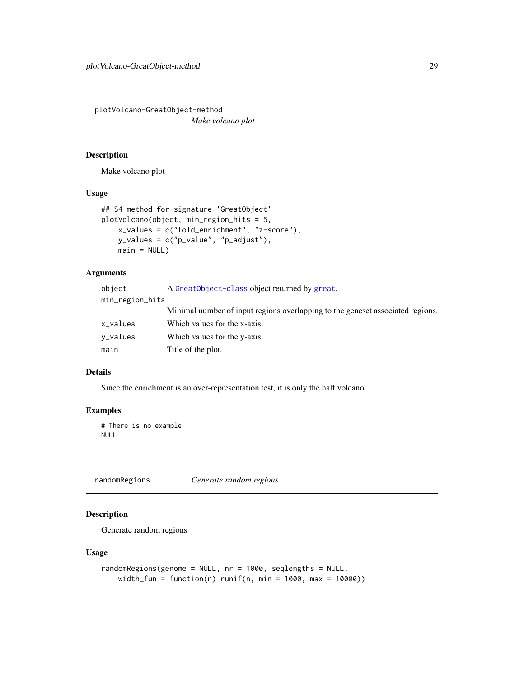<span id="page-28-0"></span>plotVolcano-GreatObject-method *Make volcano plot*

# Description

Make volcano plot

# Usage

```
## S4 method for signature 'GreatObject'
plotVolcano(object, min_region_hits = 5,
    x_values = c("fold_enrichment", "z-score"),
   y_values = c("p_value", "p_adjust"),
   main = NULL
```
# Arguments

| object          | A Great Object-class object returned by great.                                 |
|-----------------|--------------------------------------------------------------------------------|
| min_region_hits |                                                                                |
|                 | Minimal number of input regions overlapping to the geneset associated regions. |
| x_values        | Which values for the x-axis.                                                   |
| v_values        | Which values for the y-axis.                                                   |
| main            | Title of the plot.                                                             |

# Details

Since the enrichment is an over-representation test, it is only the half volcano.

#### Examples

# There is no example NULL

<span id="page-28-1"></span>randomRegions *Generate random regions*

# Description

Generate random regions

#### Usage

```
randomRegions(genome = NULL, nr = 1000, seqlengths = NULL,
   width_fun = function(n) runif(n, min = 1000, max = 10000))
```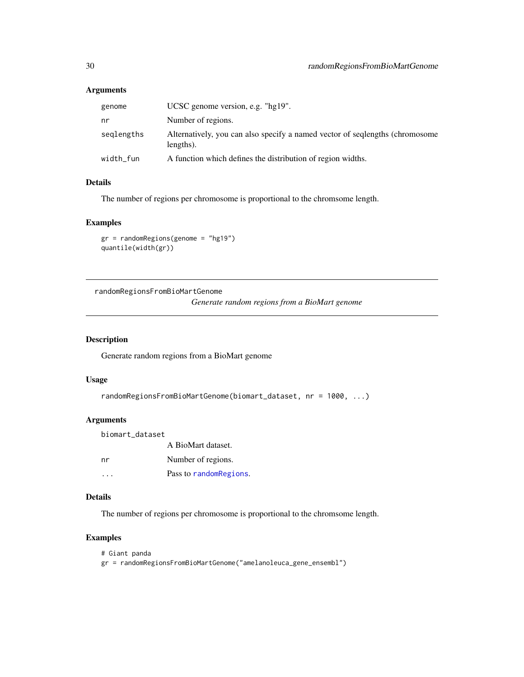### Arguments

| genome     | UCSC genome version, e.g. "hg19".                                                          |
|------------|--------------------------------------------------------------------------------------------|
| nr         | Number of regions.                                                                         |
| seglengths | Alternatively, you can also specify a named vector of seqlengths (chromosome)<br>lengths). |
| width_fun  | A function which defines the distribution of region widths.                                |
|            |                                                                                            |

# Details

The number of regions per chromosome is proportional to the chromsome length.

### Examples

gr = randomRegions(genome = "hg19") quantile(width(gr))

randomRegionsFromBioMartGenome

*Generate random regions from a BioMart genome*

### Description

Generate random regions from a BioMart genome

# Usage

```
randomRegionsFromBioMartGenome(biomart_dataset, nr = 1000, ...)
```
# Arguments

biomart\_dataset A BioMart dataset. nr Number of regions. ... Pass to [randomRegions](#page-28-1).

### Details

The number of regions per chromosome is proportional to the chromsome length.

# Examples

```
# Giant panda
gr = randomRegionsFromBioMartGenome("amelanoleuca_gene_ensembl")
```
<span id="page-29-0"></span>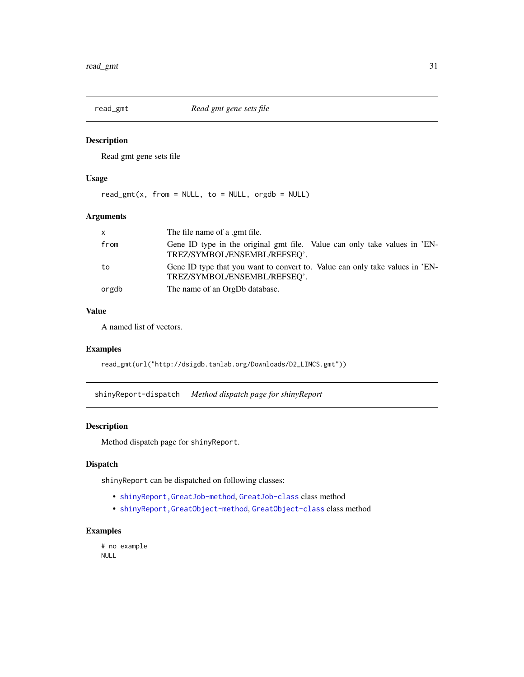<span id="page-30-0"></span>

# Description

Read gmt gene sets file

# Usage

 $read\_gmt(x, from = NULL, to = NULL, orgdb = NULL)$ 

# Arguments

| X     | The file name of a .gmt file.                                                                                |
|-------|--------------------------------------------------------------------------------------------------------------|
| from  | Gene ID type in the original gmt file. Value can only take values in 'EN-<br>TREZ/SYMBOL/ENSEMBL/REFSEQ'.    |
| to    | Gene ID type that you want to convert to. Value can only take values in 'EN-<br>TREZ/SYMBOL/ENSEMBL/REFSEO'. |
| orgdb | The name of an OrgDb database.                                                                               |

# Value

A named list of vectors.

### Examples

read\_gmt(url("http://dsigdb.tanlab.org/Downloads/D2\_LINCS.gmt"))

shinyReport-dispatch *Method dispatch page for shinyReport*

#### Description

Method dispatch page for shinyReport.

# Dispatch

shinyReport can be dispatched on following classes:

- [shinyReport,GreatJob-method](#page-0-0), [GreatJob-class](#page-20-1) class method
- [shinyReport,GreatObject-method](#page-0-0), [GreatObject-class](#page-22-1) class method

# Examples

# no example NULL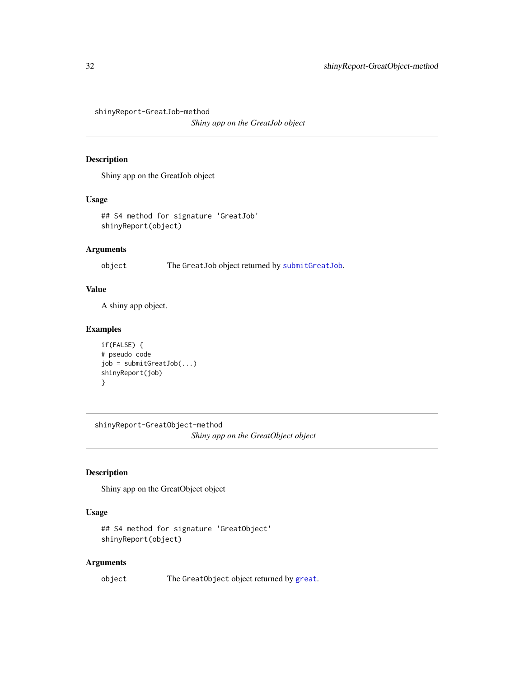<span id="page-31-0"></span>shinyReport-GreatJob-method

*Shiny app on the GreatJob object*

#### Description

Shiny app on the GreatJob object

# Usage

## S4 method for signature 'GreatJob' shinyReport(object)

# Arguments

object The GreatJob object returned by [submitGreatJob](#page-32-1).

# Value

A shiny app object.

# Examples

```
if(FALSE) {
# pseudo code
job = submitGreatJob(...)
shinyReport(job)
}
```
shinyReport-GreatObject-method *Shiny app on the GreatObject object*

# Description

Shiny app on the GreatObject object

# Usage

```
## S4 method for signature 'GreatObject'
shinyReport(object)
```
# Arguments

object The GreatObject object returned by [great](#page-16-1).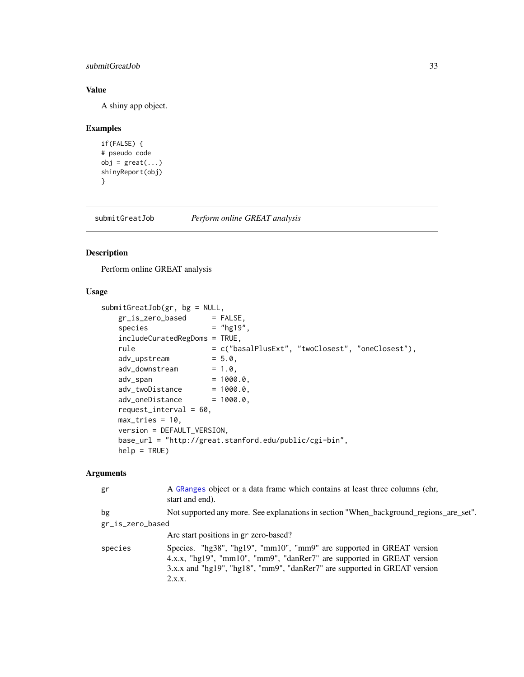# <span id="page-32-0"></span>submitGreatJob 33

# Value

A shiny app object.

# Examples

```
if(FALSE) {
# pseudo code
obj = great(...)shinyReport(obj)
}
```
<span id="page-32-1"></span>submitGreatJob *Perform online GREAT analysis*

# Description

Perform online GREAT analysis

# Usage

```
submitGreatJob(gr, bg = NULL,
   gr\_is\_zero\_based = FALSE,
   species = "hg19",
   includeCuratedRegDoms = TRUE,
   rule = c("basalPlusExt", "twoClosest", "oneClosest"),adv\_upstream = 5.0,
   adv_downstream = 1.0,
   adv_span = 1000.0,
   adv_twoDistance = 1000.0,adv\_oneDistance = 1000.0,
   request_interval = 60,
   max\_tries = 10,
   version = DEFAULT_VERSION,
   base_url = "http://great.stanford.edu/public/cgi-bin",
   help = TRUE)
```
#### Arguments

| gr               | A GRanges object or a data frame which contains at least three columns (chr,<br>start and end).                                                                                                                                        |
|------------------|----------------------------------------------------------------------------------------------------------------------------------------------------------------------------------------------------------------------------------------|
| bg               | Not supported any more. See explanations in section "When_background_regions_are_set".                                                                                                                                                 |
| gr_is_zero_based |                                                                                                                                                                                                                                        |
|                  | Are start positions in gr zero-based?                                                                                                                                                                                                  |
| species          | Species. "hg38", "hg19", "mm10", "mm9" are supported in GREAT version<br>4.x.x, "hg19", "mm10", "mm9", "danRer7" are supported in GREAT version<br>3.x.x and "hg19", "hg18", "mm9", "danRer7" are supported in GREAT version<br>2.x.x. |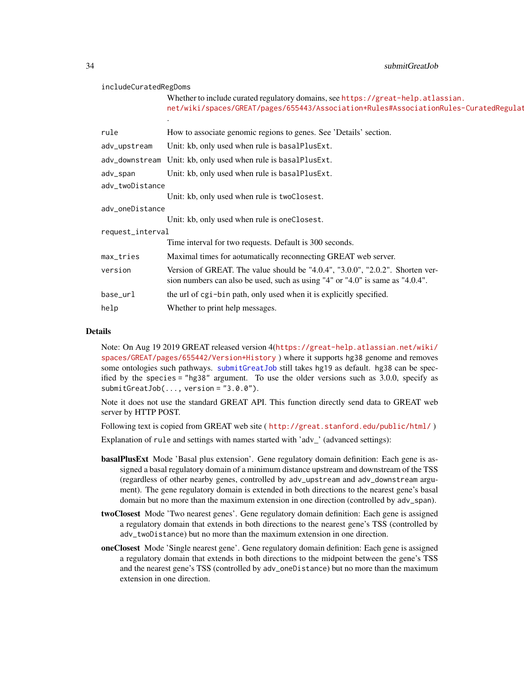<span id="page-33-0"></span>34 submitGreatJob

#### includeCuratedRegDoms

.

Whether to include curated regulatory domains, see [https://great-help.atla](https://great-help.atlassian.net/wiki/spaces/GREAT/pages/655443/Association+Rules#AssociationRules-CuratedRegulatoryDomains)ssian. net/wiki/spaces/GREAT/pages/655443/Association+Rules#AssociationRules-CuratedRegulat

| rule             | How to associate genomic regions to genes. See 'Details' section.                                                                                              |  |
|------------------|----------------------------------------------------------------------------------------------------------------------------------------------------------------|--|
| adv_upstream     | Unit: kb, only used when rule is basalPlusExt.                                                                                                                 |  |
|                  | adv_downstream Unit: kb, only used when rule is basalPlusExt.                                                                                                  |  |
| adv_span         | Unit: kb, only used when rule is basalPlusExt.                                                                                                                 |  |
| adv_twoDistance  |                                                                                                                                                                |  |
|                  | Unit: kb, only used when rule is twoClosest.                                                                                                                   |  |
| adv_oneDistance  |                                                                                                                                                                |  |
|                  | Unit: kb, only used when rule is oneClosest.                                                                                                                   |  |
| request_interval |                                                                                                                                                                |  |
|                  | Time interval for two requests. Default is 300 seconds.                                                                                                        |  |
| max_tries        | Maximal times for aotumatically reconnecting GREAT web server.                                                                                                 |  |
| version          | Version of GREAT. The value should be "4.0.4", "3.0.0", "2.0.2". Shorten ver-<br>sion numbers can also be used, such as using "4" or "4.0" is same as "4.0.4". |  |
| base_url         | the url of cgi-bin path, only used when it is explicitly specified.                                                                                            |  |
| help             | Whether to print help messages.                                                                                                                                |  |

#### Details

Note: On Aug 19 2019 GREAT released version 4([https://great-help.atlassian.net/wiki/](https://great-help.atlassian.net/wiki/spaces/GREAT/pages/655442/Version+History) [spaces/GREAT/pages/655442/Version+History](https://great-help.atlassian.net/wiki/spaces/GREAT/pages/655442/Version+History) ) where it supports hg38 genome and removes some ontologies such pathways. [submitGreatJob](#page-32-1) still takes hg19 as default. hg38 can be specified by the species = "hg38" argument. To use the older versions such as 3.0.0, specify as  $submitGreatJob(...$ , version =  $"3.0.0"$ ).

Note it does not use the standard GREAT API. This function directly send data to GREAT web server by HTTP POST.

Following text is copied from GREAT web site ( <http://great.stanford.edu/public/html/> )

Explanation of rule and settings with names started with 'adv\_' (advanced settings):

- basalPlusExt Mode 'Basal plus extension'. Gene regulatory domain definition: Each gene is assigned a basal regulatory domain of a minimum distance upstream and downstream of the TSS (regardless of other nearby genes, controlled by adv\_upstream and adv\_downstream argument). The gene regulatory domain is extended in both directions to the nearest gene's basal domain but no more than the maximum extension in one direction (controlled by adv\_span).
- twoClosest Mode 'Two nearest genes'. Gene regulatory domain definition: Each gene is assigned a regulatory domain that extends in both directions to the nearest gene's TSS (controlled by adv\_twoDistance) but no more than the maximum extension in one direction.
- oneClosest Mode 'Single nearest gene'. Gene regulatory domain definition: Each gene is assigned a regulatory domain that extends in both directions to the midpoint between the gene's TSS and the nearest gene's TSS (controlled by adv\_oneDistance) but no more than the maximum extension in one direction.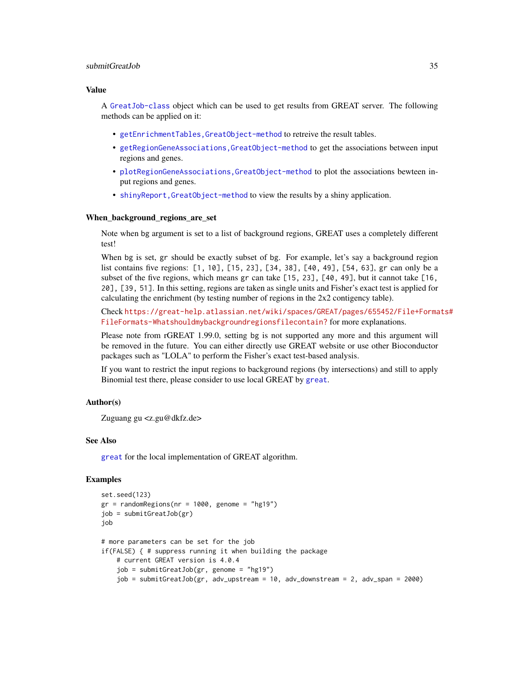#### <span id="page-34-0"></span>submitGreatJob 35

#### Value

A [GreatJob-class](#page-20-1) object which can be used to get results from GREAT server. The following methods can be applied on it:

- [getEnrichmentTables,GreatObject-method](#page-0-0) to retreive the result tables.
- [getRegionGeneAssociations,GreatObject-method](#page-0-0) to get the associations between input regions and genes.
- plotRegionGeneAssociations, GreatObject-method to plot the associations bewteen input regions and genes.
- [shinyReport,GreatObject-method](#page-0-0) to view the results by a shiny application.

#### When background regions are set

Note when bg argument is set to a list of background regions, GREAT uses a completely different test!

When bg is set, gr should be exactly subset of bg. For example, let's say a background region list contains five regions: [1, 10], [15, 23], [34, 38], [40, 49], [54, 63], gr can only be a subset of the five regions, which means gr can take [15, 23], [40, 49], but it cannot take [16, 20], [39, 51]. In this setting, regions are taken as single units and Fisher's exact test is applied for calculating the enrichment (by testing number of regions in the 2x2 contigency table).

Check [https://great-help.atlassian.net/wiki/spaces/GREAT/pages/655452/File+Forma](https://great-help.atlassian.net/wiki/spaces/GREAT/pages/655452/File+Formats#FileFormats-Whatshouldmybackgroundregionsfilecontain?)ts# [FileFormats-Whatshouldmybackgroundregionsfilecontain?](https://great-help.atlassian.net/wiki/spaces/GREAT/pages/655452/File+Formats#FileFormats-Whatshouldmybackgroundregionsfilecontain?) for more explanations.

Please note from rGREAT 1.99.0, setting bg is not supported any more and this argument will be removed in the future. You can either directly use GREAT website or use other Bioconductor packages such as "LOLA" to perform the Fisher's exact test-based analysis.

If you want to restrict the input regions to background regions (by intersections) and still to apply Binomial test there, please consider to use local GREAT by [great](#page-16-1).

### Author(s)

Zuguang gu <z.gu@dkfz.de>

#### See Also

[great](#page-16-1) for the local implementation of GREAT algorithm.

### Examples

```
set.seed(123)
gr = randomRegionS(nr = 1000, genome = "hg19")job = submitGreatJob(gr)
job
# more parameters can be set for the job
if(FALSE) { # suppress running it when building the package
    # current GREAT version is 4.0.4
    job = submitGreatJob(gr, genome = "hg19")
    job = submitGreatJob(gr, adv_upstream = 10, adv_downstream = 2, adv_span = 2000)
```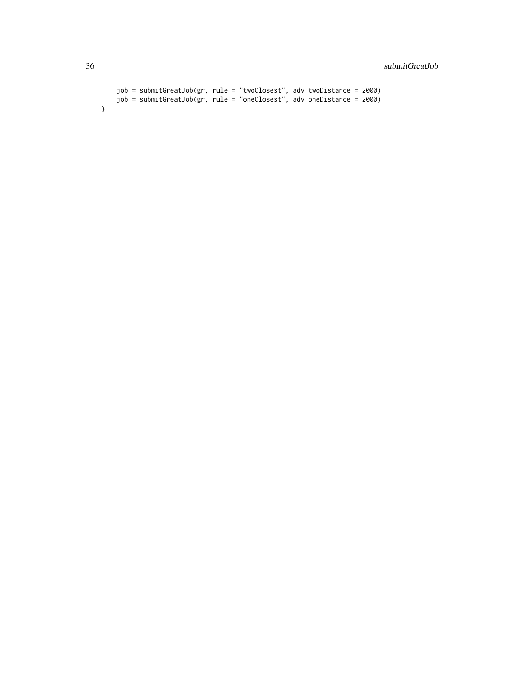```
job = submitGreatJob(gr, rule = "twoClosest", adv_twoDistance = 2000)
    job = submitGreatJob(gr, rule = "oneClosest", adv_oneDistance = 2000)
}
```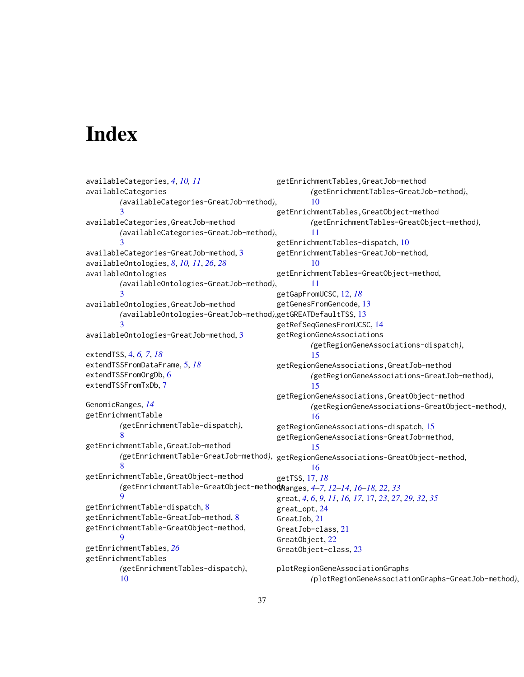# <span id="page-36-0"></span>**Index**

```
availableCategories, 4, 10, 11
availableCategories
        (availableCategories-GreatJob-method),
        3
availableCategories,GreatJob-method
        (availableCategories-GreatJob-method),
        3
availableCategories-GreatJob-method, 3
availableOntologies, 8, 10, 11, 26, 28
availableOntologies
        (availableOntologies-GreatJob-method),
        3
availableOntologies,GreatJob-method
        (availableOntologies-GreatJob-method),
getGREATDefaultTSS, 13
        3
availableOntologies-GreatJob-method, 3
extendTSS, 4, 6, 7, 18
extendTSSFromDataFrame, 5, 18
extendTSSFromOrgDb, 6
extendTSSFromTxDb, 7
GenomicRanges, 14
getEnrichmentTable
        (getEnrichmentTable-dispatch),
        8
getEnrichmentTable,GreatJob-method
        (getEnrichmentTable-GreatJob-method),
        8
getEnrichmentTable,GreatObject-method
        (getEnrichmentTable-GreatObject-method),
        9
getEnrichmentTable-dispatch, 8
getEnrichmentTable-GreatJob-method, 8
getEnrichmentTable-GreatObject-method,
        9
getEnrichmentTables, 26
getEnrichmentTables
        (getEnrichmentTables-dispatch),
        10
                                               getEnrichmentTables,GreatJob-method
                                                        (getEnrichmentTables-GreatJob-method),
                                                        10
                                               getEnrichmentTables,GreatObject-method
                                                        (getEnrichmentTables-GreatObject-method),
                                                        11
                                               getEnrichmentTables-dispatch, 10
                                               getEnrichmentTables-GreatJob-method,
                                                        10
                                               getEnrichmentTables-GreatObject-method,
                                                        11
                                               getGapFromUCSC, 12, 18
                                               getGenesFromGencode, 13
                                               getRefSeqGenesFromUCSC, 14
                                               getRegionGeneAssociations
                                                       (getRegionGeneAssociations-dispatch),
                                                        15
                                               getRegionGeneAssociations,GreatJob-method
                                                        (getRegionGeneAssociations-GreatJob-method),
                                                        15
                                               getRegionGeneAssociations,GreatObject-method
                                                        (getRegionGeneAssociations-GreatObject-method),
                                                        16
                                               getRegionGeneAssociations-dispatch, 15
                                               getRegionGeneAssociations-GreatJob-method,
                                                        15
                                               getRegionGeneAssociations-GreatObject-method,
                                                        16
                                               getTSS, 17, 18
                                               GRanges, 4–7, 12–14, 16–18, 22, 33
                                               great, 4, 6, 9, 11, 16, 17, 17, 23, 27, 29, 32, 35
                                               great_opt, 24
                                               GreatJob, 21
                                               GreatJob-class, 21
                                               GreatObject, 22
                                               GreatObject-class, 23
                                               plotRegionGeneAssociationGraphs
                                                        (plotRegionGeneAssociationGraphs-GreatJob-method),
```